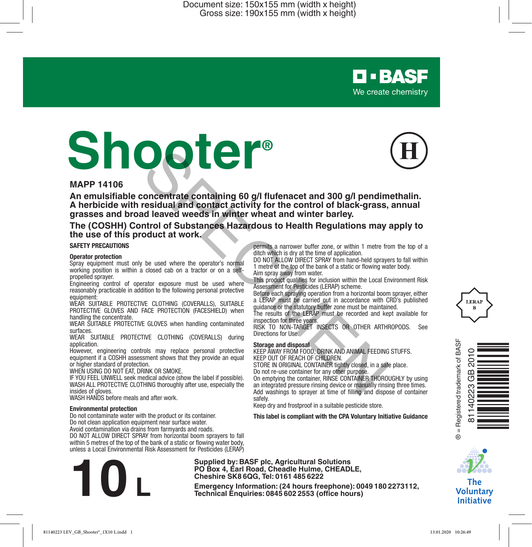# **Shooter®**



**O-BASF** We create chemistry

#### **MAPP 14106**

**An emulsifiable concentrate containing 60 g/l flufenacet and 300 g/l pendimethalin. A herbicide with residual and contact activity for the control of black-grass, annual grasses and broad leaved weeds in winter wheat and winter barley. Example 19 and 200** of **PICECT COVERALLS** (COVERALLS) during the control of Bucklery (SOMETHING (COVERALLS) during the control of Bucklery and the CLOTHING (COVERALLS) during the results of the LERAP must be recorded an

**The (COSHH) Control of Substances Hazardous to Health Regulations may apply to the use of this product at work.**

#### **SAFETY PRECAUTIONS**

#### **Operator protection**

Spray equipment must only be used where the operator's normal working position is within a closed cab on a tractor or on a selfpropelled sprayer.

Engineering control of operator exposure must be used where reasonably practicable in addition to the following personal protective equipment:

WEAR SUITABLE PROTECTIVE CLOTHING (COVERALLS), SUITABLE PROTECTIVE GLOVES AND FACE PROTECTION (FACESHIELD) when handling the concentrate.

WEAR SUITABLE PROTECTIVE GLOVES when handling contaminated surfaces.

WEAR SUITABLE PROTECTIVE CLOTHING (COVERALLS) during application.

However, engineering controls may replace personal protective equipment if a COSHH assessment shows that they provide an equal or higher standard of protection.

WHEN USING DO NOT EAT, DRINK OR SMOKE.

IF YOU FEEL UNWELL seek medical advice (show the label if possible). WASH ALL PROTECTIVE CLOTHING thoroughly after use, especially the insides of gloves.

WASH HANDS before meals and after work.

#### **Environmental protection**

Do not contaminate water with the product or its container. Do not clean application equipment near surface water.

Avoid contamination via drains from farmyards and roads.

DO NOT ALLOW DIRECT SPRAY from horizontal boom sprayers to fall within 5 metres of the top of the bank of a static or flowing water body, unless a Local Environmental Risk Assessment for Pesticides (LERAP)

permits a narrower buffer zone, or within 1 metre from the top of a ditch which is dry at the time of application.

DO NOT ALLOW DIRECT SPRAY from hand-held sprayers to fall within 1 metre of the top of the bank of a static or flowing water body. Aim spray away from water.

This product qualifies for inclusion within the Local Environment Risk Assessment for Pesticides (LERAP) scheme.

Before each spraying operation from a horizontal boom sprayer, either a LERAP must be carried out in accordance with CRD's published

guidance or the statutory buffer zone must be maintained. The results of the LERAP must be recorded and kept available for inspection for three years.

RISK TO NON-TARGET INSECTS OR OTHER ARTHROPODS. See Directions for Use.

#### **Storage and disposal**

KEEP AWAY FROM FOOD, DRINK AND ANIMAL FEEDING STUFFS. KEEP OUT OF REACH OF CHILDREN.

STORE IN ORIGINAL CONTAINER tightly closed, in a safe place. Do not re-use container for any other purpose.

On emptying the container, RINSE CONTAINER THOROUGHLY by using an integrated pressure rinsing device or manually rinsing three times. Add washings to sprayer at time of filling and dispose of container safely.

Keep dry and frostproof in a suitable pesticide store.

**This label is compliant with the CPA Voluntary Initiative Guidance**



The **Voluntary Initiative** 

**Supplied by: BASF plc, Agricultural Solutions PO Box 4, Earl Road, Cheadle Hulme, CHEADLE, Cheshire SK8 6QG, Tel: 0161 485 6222**

**Example 19:** Box 4, Earl Road, Cheadle Hulme, CHEADLE,<br>
Cheshire SK8 6QG, Tel: 0161 485 6222<br>
Emergency Information: (24 hours freephone): 0049 180 2273112,<br>
Technical Enquiries: 0845 602 2553 (office hours)





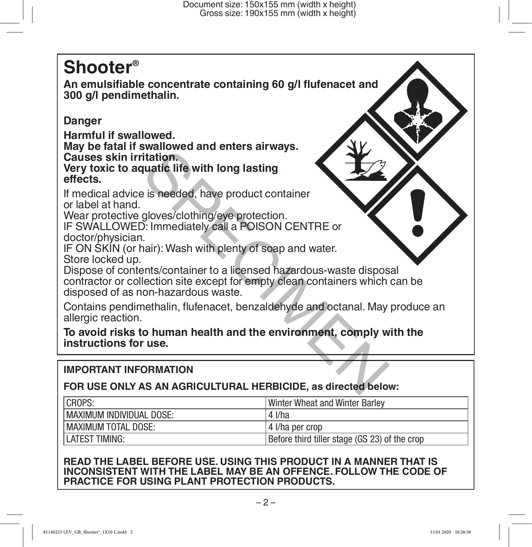# **Shooter®**

**An emulsifiable concentrate containing 60 g/l flufenacet and 300 g/l pendimethalin.** 

# **Danger**

**Harmful if swallowed.**

**May be fatal if swallowed and enters airways. Causes skin irritation.**

**Very toxic to aquatic life with long lasting effects.**

If medical advice is needed, have product container or label at hand.

Wear protective gloves/clothing/eye protection. IF SWALLOWED: Immediately call a POISON CENTRE or

doctor/physician.

IF ON SKIN (or hair): Wash with plenty of soap and water. Store locked up.

Dispose of contents/container to a licensed hazardous-waste disposal contractor or collection site except for empty clean containers which can be disposed of as non-hazardous waste. Fitation.<br>
Tradition.<br>
Tradition.<br>
Tradition.<br>
Tradition.<br>
I. Immediately call a POISON CENTRE or<br>
I.<br>
I. immediately call a POISON CENTRE or<br>
Thair): Wash with plenty of soap and water.<br>
Thair): Wash with plenty of soap a

Contains pendimethalin, flufenacet, benzaldehyde and octanal. May produce an allergic reaction.

**To avoid risks to human health and the environment, comply with the instructions for use.**

# **IMPORTANT INFORMATION**

# **FOR USE ONLY AS AN AGRICULTURAL HERBICIDE, as directed below:**

| CROPS:                     | Winter Wheat and Winter Barley                |
|----------------------------|-----------------------------------------------|
| I MAXIMUM INDIVIDUAL DOSE: | 4 I/ha                                        |
| I MAXIMUM TOTAL DOSE:      | 14 I/ha per crop                              |
| <b>LATEST TIMING:</b>      | Before third tiller stage (GS 23) of the crop |

# **READ THE LABEL BEFORE USE. USING THIS PRODUCT IN A MANNER THAT IS INCONSISTENT WITH THE LABEL MAY BE AN OFFENCE. FOLLOW THE CODE OF PRACTICE FOR USING PLANT PROTECTION PRODUCTS.**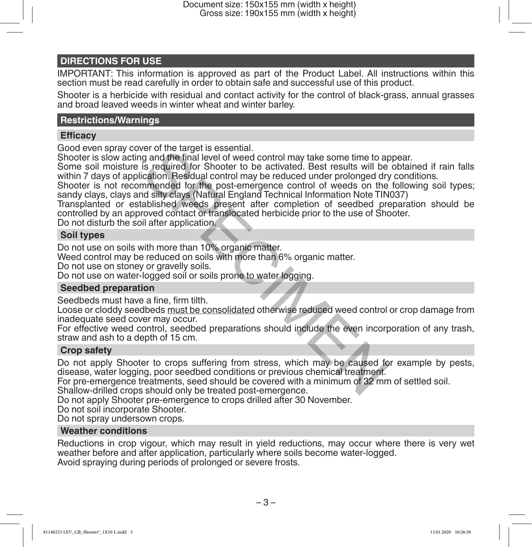#### **DIRECTIONS FOR USE**

IMPORTANT: This information is approved as part of the Product Label. All instructions within this section must be read carefully in order to obtain safe and successful use of this product.

Shooter is a herbicide with residual and contact activity for the control of black-grass, annual grasses and broad leaved weeds in winter wheat and winter barley.

#### **Restrictions/Warnings**

#### **Efficacy**

Good even spray cover of the target is essential.

Shooter is slow acting and the final level of weed control may take some time to appear.

Some soil moisture is required for Shooter to be activated. Best results will be obtained if rain falls within 7 days of application. Residual control may be reduced under prolonged dry conditions.

Shooter is not recommended for the post-emergence control of weeds on the following soil types; sandy clays, clays and silty clays (Natural England Technical Information Note TIN037)

Transplanted or established weeds present after completion of seedbed preparation should be controlled by an approved contact or translocated herbicide prior to the use of Shooter. For of the target is essential.<br>In an different control may take some time to apply and the final level of weed control may take some time to a<br>is required for Shooter to be activated. Best results will be<br>ication. Residua

Do not disturb the soil after application.

#### **Soil types**

Do not use on soils with more than 10% organic matter.

Weed control may be reduced on soils with more than 6% organic matter.

Do not use on stoney or gravelly soils.

Do not use on water-logged soil or soils prone to water logging.

#### **Seedbed preparation**

Seedbeds must have a fine, firm tilth.

Loose or cloddy seedbeds must be consolidated otherwise reduced weed control or crop damage from inadequate seed cover may occur.

For effective weed control, seedbed preparations should include the even incorporation of any trash, straw and ash to a depth of 15 cm.

#### **Crop safety**

Do not apply Shooter to crops suffering from stress, which may be caused for example by pests, disease, water logging, poor seedbed conditions or previous chemical treatment.

For pre-emergence treatments, seed should be covered with a minimum of 32 mm of settled soil.

Shallow-drilled crops should only be treated post-emergence.

Do not apply Shooter pre-emergence to crops drilled after 30 November.

Do not soil incorporate Shooter.

Do not spray undersown crops.

#### **Weather conditions**

Reductions in crop vigour, which may result in yield reductions, may occur where there is very wet weather before and after application, particularly where soils become water-logged. Avoid spraying during periods of prolonged or severe frosts.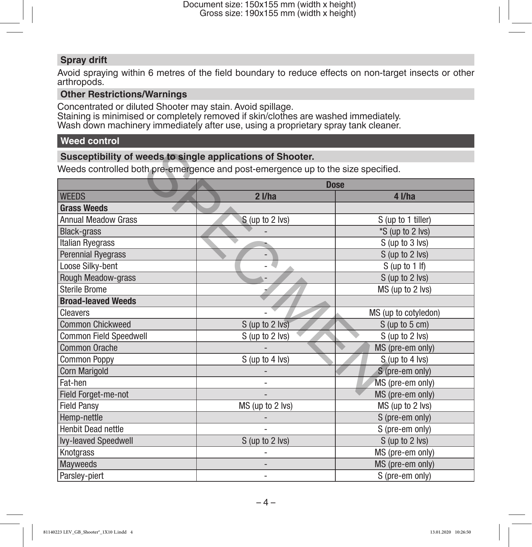# **Spray drift**

Avoid spraying within 6 metres of the field boundary to reduce effects on non-target insects or other arthropods.

### **Other Restrictions/Warnings**

Concentrated or diluted Shooter may stain. Avoid spillage. Staining is minimised or completely removed if skin/clothes are washed immediately. Wash down machinery immediately after use, using a proprietary spray tank cleaner.

# **Weed control**

#### **Susceptibility of weeds to single applications of Shooter.**

| Susceptibility of weeds to single applications of Shooter.                       |                  |                      |  |
|----------------------------------------------------------------------------------|------------------|----------------------|--|
| Weeds controlled both pre-emergence and post-emergence up to the size specified. |                  |                      |  |
|                                                                                  |                  | <b>Dose</b>          |  |
| <b>WEEDS</b>                                                                     | $2$ I/ha         | $4$ I/ha             |  |
| <b>Grass Weeds</b>                                                               |                  |                      |  |
| <b>Annual Meadow Grass</b>                                                       | S (up to 2 lvs)  | S (up to 1 tiller)   |  |
| <b>Black-grass</b>                                                               |                  | *S (up to 2 lvs)     |  |
| Italian Ryegrass                                                                 |                  | S (up to 3 lvs)      |  |
| <b>Perennial Ryegrass</b>                                                        |                  | S (up to 2 lvs)      |  |
| Loose Silky-bent                                                                 |                  | $S$ (up to 1 If)     |  |
| Rough Meadow-grass                                                               |                  | S (up to 2 lvs)      |  |
| <b>Sterile Brome</b>                                                             |                  | MS (up to 2 lvs)     |  |
| <b>Broad-leaved Weeds</b>                                                        |                  |                      |  |
| Cleavers                                                                         |                  | MS (up to cotyledon) |  |
| <b>Common Chickweed</b>                                                          | S (up to 2 lvs)  | $S$ (up to $5$ cm)   |  |
| Common Field Speedwell                                                           | S (up to 2 lvs)  | S (up to 2 lvs)      |  |
| Common Orache                                                                    |                  | MS (pre-em only)     |  |
| <b>Common Poppy</b>                                                              | S (up to 4 lvs)  | S (up to 4 lvs)      |  |
| <b>Corn Marigold</b>                                                             |                  | S (pre-em only)      |  |
| Fat-hen                                                                          |                  | MS (pre-em only)     |  |
| Field Forget-me-not                                                              |                  | MS (pre-em only)     |  |
| <b>Field Pansy</b>                                                               | MS (up to 2 lvs) | MS (up to 2 lvs)     |  |
| Hemp-nettle                                                                      |                  | S (pre-em only)      |  |
| <b>Henbit Dead nettle</b>                                                        |                  | S (pre-em only)      |  |
| Ivy-leaved Speedwell                                                             | S (up to 2 lvs)  | S (up to 2 lvs)      |  |
| Knotgrass                                                                        |                  | MS (pre-em only)     |  |
| <b>Mayweeds</b>                                                                  |                  | MS (pre-em only)     |  |
| Parsley-piert                                                                    | $\overline{a}$   | S (pre-em only)      |  |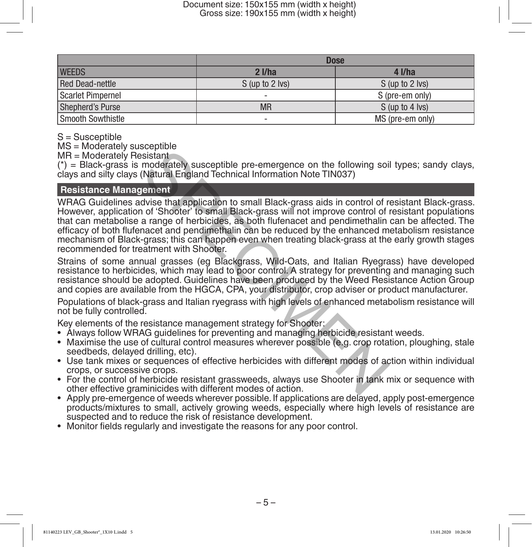|                        | <b>Dose</b>              |                  |
|------------------------|--------------------------|------------------|
| <b>WEEDS</b>           | $2$ I/ha                 | $4$ I/ha         |
| <b>Red Dead-nettle</b> | S (up to 2 lvs)          | S (up to 2 lvs)  |
| Scarlet Pimpernel      | $\overline{\phantom{a}}$ | S (pre-em only)  |
| Shepherd's Purse       | <b>MR</b>                | S (up to 4 lvs)  |
| Smooth Sowthistle      | $\overline{\phantom{a}}$ | MS (pre-em only) |

S = Susceptible

MS = Moderately susceptible

MR = Moderately Resistant

 $(*)$  = Black-grass is moderately susceptible pre-emergence on the following soil types; sandy clays, clays and silty clays (Natural England Technical Information Note TIN037)

### **Resistance Management**

WRAG Guidelines advise that application to small Black-grass aids in control of resistant Black-grass. However, application of 'Shooter' to small Black-grass will not improve control of resistant populations that can metabolise a range of herbicides, as both flufenacet and pendimethalin can be affected. The efficacy of both flufenacet and pendimethalin can be reduced by the enhanced metabolism resistance mechanism of Black-grass; this can happen even when treating black-grass at the early growth stages recommended for treatment with Shooter. become the following soil and the following soil sistant<br>
sistant<br>
inderately susceptible pre-emergence on the following soil<br>
(Natural England Technical Information Note TIN037)<br>
1 of 'Shoter' to small Black-grass aids in

Strains of some annual grasses (eg Blackgrass, Wild-Oats, and Italian Ryegrass) have developed resistance to herbicides, which may lead to poor control. A strategy for preventing and managing such resistance should be adopted. Guidelines have been produced by the Weed Resistance Action Group and copies are available from the HGCA, CPA, your distributor, crop adviser or product manufacturer.

Populations of black-grass and Italian ryegrass with high levels of enhanced metabolism resistance will not be fully controlled.

Key elements of the resistance management strategy for Shooter:

- Always follow WRAG guidelines for preventing and managing herbicide resistant weeds.
- Maximise the use of cultural control measures wherever possible (e.g. crop rotation, ploughing, stale seedbeds, delayed drilling, etc).
- Use tank mixes or sequences of effective herbicides with different modes of action within individual crops, or successive crops.
- For the control of herbicide resistant grassweeds, always use Shooter in tank mix or sequence with other effective graminicides with different modes of action.
- Apply pre-emergence of weeds wherever possible. If applications are delayed, apply post-emergence products/mixtures to small, actively growing weeds, especially where high levels of resistance are suspected and to reduce the risk of resistance development.
- Monitor fields regularly and investigate the reasons for any poor control.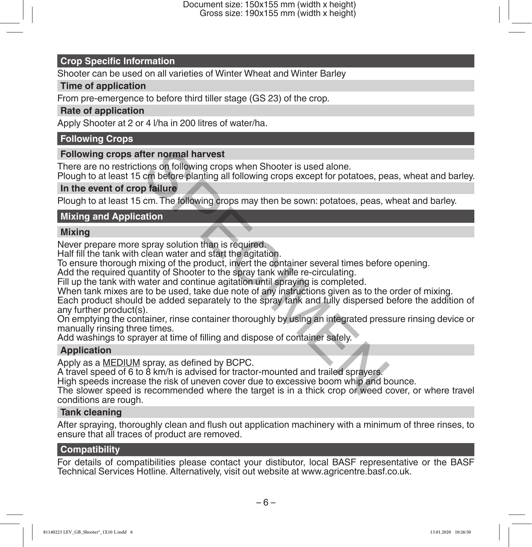#### **Crop Specific Information**

Shooter can be used on all varieties of Winter Wheat and Winter Barley

#### **Time of application**

From pre-emergence to before third tiller stage (GS 23) of the crop.

#### **Rate of application**

Apply Shooter at 2 or 4 l/ha in 200 litres of water/ha.

#### **Following Crops**

#### **Following crops after normal harvest**

There are no restrictions on following crops when Shooter is used alone.

Plough to at least 15 cm before planting all following crops except for potatoes, peas, wheat and barley.

### **In the event of crop failure**

Plough to at least 15 cm. The following crops may then be sown: potatoes, peas, wheat and barley.

#### **Mixing and Application**

#### **Mixing**

Never prepare more spray solution than is required.

Half fill the tank with clean water and start the agitation.

To ensure thorough mixing of the product, invert the container several times before opening.

Add the required quantity of Shooter to the spray tank while re-circulating.

Fill up the tank with water and continue agitation until spraying is completed.

When tank mixes are to be used, take due note of any instructions given as to the order of mixing.

Each product should be added separately to the spray tank and fully dispersed before the addition of any further product(s). fter normal harvest<br>
ions on following crops when Shooter is used alone.<br>
cm before planting all following crops except for potatoes, pe<br>
p failure<br>
cm. The following crops may then be sown: potatoes, peas, v<br>
ation<br>
spray

On emptying the container, rinse container thoroughly by using an integrated pressure rinsing device or manually rinsing three times.

Add washings to sprayer at time of filling and dispose of container safely.

# **Application**

Apply as a MEDIUM spray, as defined by BCPC.

A travel speed of 6 to 8 km/h is advised for tractor-mounted and trailed sprayers.

High speeds increase the risk of uneven cover due to excessive boom whip and bounce.

The slower speed is recommended where the target is in a thick crop or weed cover, or where travel conditions are rough.

#### **Tank cleaning**

After spraying, thoroughly clean and flush out application machinery with a minimum of three rinses, to ensure that all traces of product are removed.

#### **Compatibility**

For details of compatibilities please contact your distibutor, local BASF representative or the BASF Technical Services Hotline. Alternatively, visit out website at www.agricentre.basf.co.uk.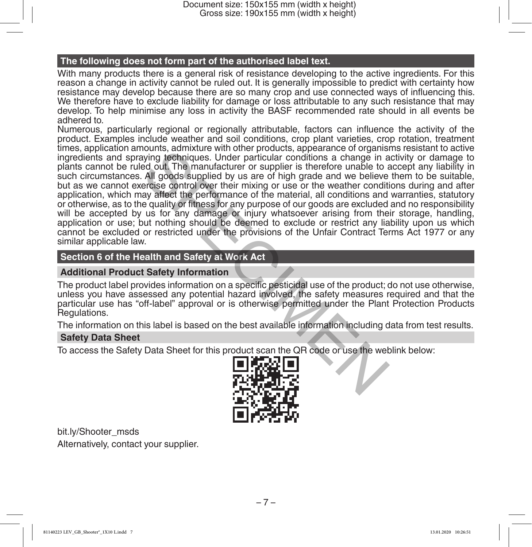#### **The following does not form part of the authorised label text.**

With many products there is a general risk of resistance developing to the active ingredients. For this reason a change in activity cannot be ruled out. It is generally impossible to predict with certainty how resistance may develop because there are so many crop and use connected ways of influencing this. We therefore have to exclude liability for damage or loss attributable to any such resistance that may develop. To help minimise any loss in activity the BASF recommended rate should in all events be adhered to.

Numerous, particularly regional or regionally attributable, factors can influence the activity of the product. Examples include weather and soil conditions, crop plant varieties, crop rotation, treatment times, application amounts, admixture with other products, appearance of organisms resistant to active ingredients and spraying techniques. Under particular conditions a change in activity or damage to plants cannot be ruled out. The manufacturer or supplier is therefore unable to accept any liability in such circumstances. All goods supplied by us are of high grade and we believe them to be suitable, but as we cannot exercise control over their mixing or use or the weather conditions during and after application, which may affect the performance of the material, all conditions and warranties, statutory or otherwise, as to the quality or fitness for any purpose of our goods are excluded and no responsibility will be accepted by us for any damage or injury whatsoever arising from their storage, handling, application or use; but nothing should be deemed to exclude or restrict any liability upon us which cannot be excluded or restricted under the provisions of the Unfair Contract Terms Act 1977 or any similar applicable law. noting, admixture with other protoucts, appearance of togal<br>and a chapter of the particular conditions a change in a<br>ed out. The manufacturer or supplier is therefore unable to a<br>All goods supplied by us are of high grade

#### **Section 6 of the Health and Safety at Work Act**

#### **Additional Product Safety Information**

The product label provides information on a specific pesticidal use of the product; do not use otherwise, unless you have assessed any potential hazard involved, the safety measures required and that the particular use has "off-label" approval or is otherwise permitted under the Plant Protection Products Regulations.

The information on this label is based on the best available information including data from test results.

#### **Safety Data Sheet**

To access the Safety Data Sheet for this product scan the QR code or use the weblink below:



bit.ly/Shooter\_msds Alternatively, contact your supplier.